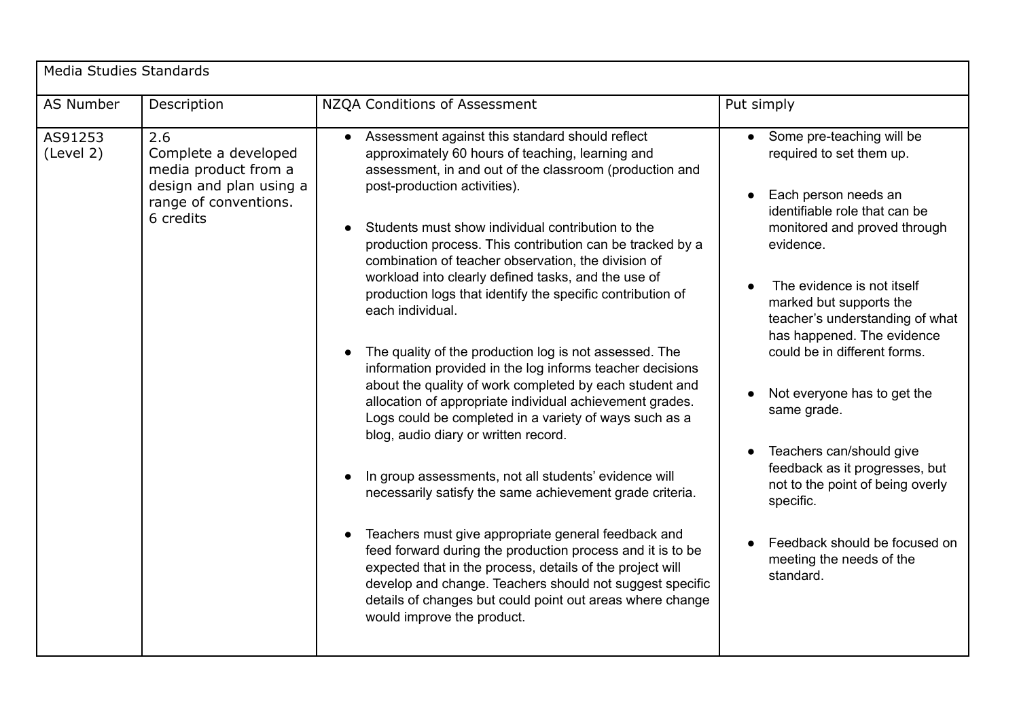| Media Studies Standards |                                                                                                                      |                                                                                                                                                                                                                                                                                                                                                                                                                                                                                                                                                                                                                                                                                                                                                                                                                                                                                                                                                                                                                                                                                                                                                                                                                                                                                                                                  |                                                                                                                                                                                                                                                                                                                                                                                                                                                                                                                                                              |  |  |  |
|-------------------------|----------------------------------------------------------------------------------------------------------------------|----------------------------------------------------------------------------------------------------------------------------------------------------------------------------------------------------------------------------------------------------------------------------------------------------------------------------------------------------------------------------------------------------------------------------------------------------------------------------------------------------------------------------------------------------------------------------------------------------------------------------------------------------------------------------------------------------------------------------------------------------------------------------------------------------------------------------------------------------------------------------------------------------------------------------------------------------------------------------------------------------------------------------------------------------------------------------------------------------------------------------------------------------------------------------------------------------------------------------------------------------------------------------------------------------------------------------------|--------------------------------------------------------------------------------------------------------------------------------------------------------------------------------------------------------------------------------------------------------------------------------------------------------------------------------------------------------------------------------------------------------------------------------------------------------------------------------------------------------------------------------------------------------------|--|--|--|
| AS Number               | Description                                                                                                          | NZQA Conditions of Assessment                                                                                                                                                                                                                                                                                                                                                                                                                                                                                                                                                                                                                                                                                                                                                                                                                                                                                                                                                                                                                                                                                                                                                                                                                                                                                                    | Put simply                                                                                                                                                                                                                                                                                                                                                                                                                                                                                                                                                   |  |  |  |
| AS91253<br>(Level 2)    | 2.6<br>Complete a developed<br>media product from a<br>design and plan using a<br>range of conventions.<br>6 credits | • Assessment against this standard should reflect<br>approximately 60 hours of teaching, learning and<br>assessment, in and out of the classroom (production and<br>post-production activities).<br>Students must show individual contribution to the<br>production process. This contribution can be tracked by a<br>combination of teacher observation, the division of<br>workload into clearly defined tasks, and the use of<br>production logs that identify the specific contribution of<br>each individual.<br>The quality of the production log is not assessed. The<br>information provided in the log informs teacher decisions<br>about the quality of work completed by each student and<br>allocation of appropriate individual achievement grades.<br>Logs could be completed in a variety of ways such as a<br>blog, audio diary or written record.<br>In group assessments, not all students' evidence will<br>necessarily satisfy the same achievement grade criteria.<br>Teachers must give appropriate general feedback and<br>feed forward during the production process and it is to be<br>expected that in the process, details of the project will<br>develop and change. Teachers should not suggest specific<br>details of changes but could point out areas where change<br>would improve the product. | Some pre-teaching will be<br>required to set them up.<br>Each person needs an<br>identifiable role that can be<br>monitored and proved through<br>evidence.<br>The evidence is not itself<br>marked but supports the<br>teacher's understanding of what<br>has happened. The evidence<br>could be in different forms.<br>Not everyone has to get the<br>same grade.<br>Teachers can/should give<br>feedback as it progresses, but<br>not to the point of being overly<br>specific.<br>Feedback should be focused on<br>meeting the needs of the<br>standard. |  |  |  |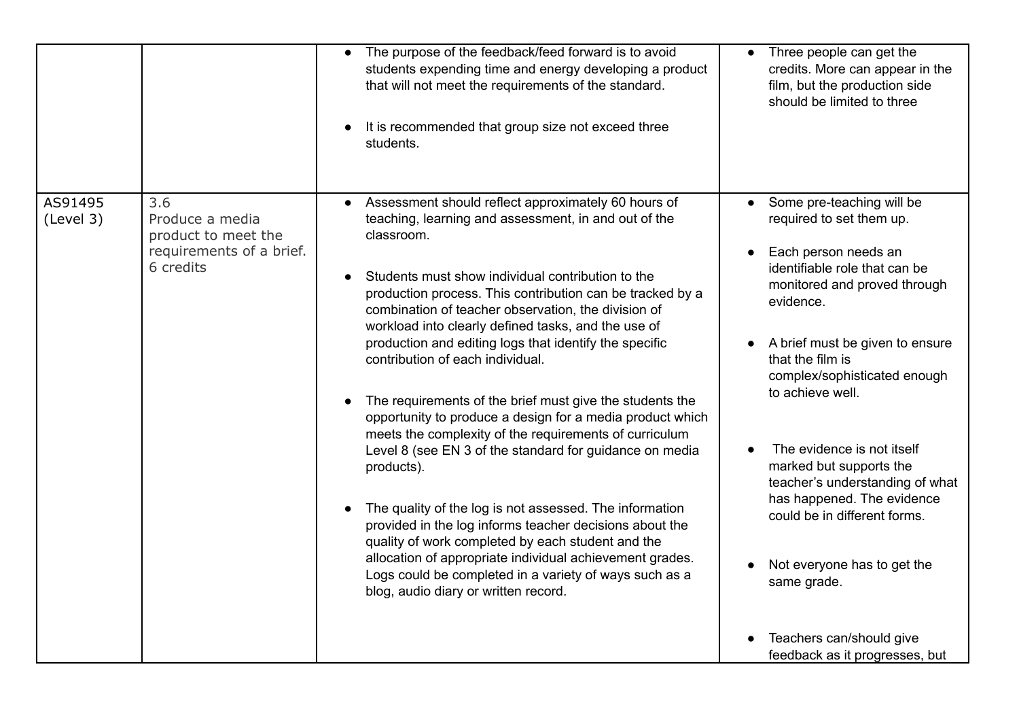|                      |                                                                                        | The purpose of the feedback/feed forward is to avoid<br>$\bullet$<br>students expending time and energy developing a product<br>that will not meet the requirements of the standard.<br>It is recommended that group size not exceed three<br>students.                                                                                                                                                                                                                                                                                                                                                                                                                                                                                                                                                                                                                                                                                                                                                                                                      | Three people can get the<br>credits. More can appear in the<br>film, but the production side<br>should be limited to three                                                                                                                                                                                                                                                                                                                                                                                                                   |
|----------------------|----------------------------------------------------------------------------------------|--------------------------------------------------------------------------------------------------------------------------------------------------------------------------------------------------------------------------------------------------------------------------------------------------------------------------------------------------------------------------------------------------------------------------------------------------------------------------------------------------------------------------------------------------------------------------------------------------------------------------------------------------------------------------------------------------------------------------------------------------------------------------------------------------------------------------------------------------------------------------------------------------------------------------------------------------------------------------------------------------------------------------------------------------------------|----------------------------------------------------------------------------------------------------------------------------------------------------------------------------------------------------------------------------------------------------------------------------------------------------------------------------------------------------------------------------------------------------------------------------------------------------------------------------------------------------------------------------------------------|
| AS91495<br>(Level 3) | 3.6<br>Produce a media<br>product to meet the<br>requirements of a brief.<br>6 credits | Assessment should reflect approximately 60 hours of<br>teaching, learning and assessment, in and out of the<br>classroom.<br>Students must show individual contribution to the<br>production process. This contribution can be tracked by a<br>combination of teacher observation, the division of<br>workload into clearly defined tasks, and the use of<br>production and editing logs that identify the specific<br>contribution of each individual.<br>The requirements of the brief must give the students the<br>opportunity to produce a design for a media product which<br>meets the complexity of the requirements of curriculum<br>Level 8 (see EN 3 of the standard for guidance on media<br>products).<br>The quality of the log is not assessed. The information<br>provided in the log informs teacher decisions about the<br>quality of work completed by each student and the<br>allocation of appropriate individual achievement grades.<br>Logs could be completed in a variety of ways such as a<br>blog, audio diary or written record. | Some pre-teaching will be<br>required to set them up.<br>Each person needs an<br>identifiable role that can be<br>monitored and proved through<br>evidence.<br>A brief must be given to ensure<br>that the film is<br>complex/sophisticated enough<br>to achieve well.<br>The evidence is not itself<br>marked but supports the<br>teacher's understanding of what<br>has happened. The evidence<br>could be in different forms.<br>Not everyone has to get the<br>same grade.<br>Teachers can/should give<br>feedback as it progresses, but |